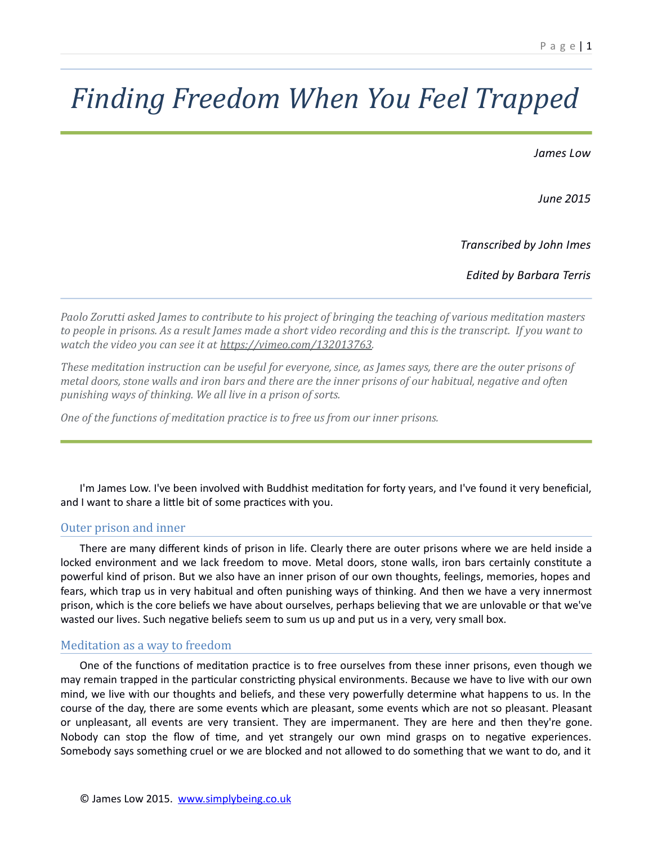# *Finding Freedom When You Feel Trapped*

*James Low*

*June 2015*

*Transcribed by John Imes*

*Edited by Barbara Terris*

*Paolo Zorutti asked James to contribute to his project of bringing the teaching of various meditation masters to people in prisons. As a result James made a short video recording and this is the transcript. If you want to watch the video you can see it at [https://vimeo.com/132013763.](https://vimeo.com/132013763)*

*These meditation instruction can be useful for everyone, since, as James says, there are the outer prisons of metal doors, stone walls and iron bars and there are the inner prisons of our habitual, negative and often punishing ways of thinking. We all live in a prison of sorts.*

*One of the functions of meditation practice is to free us from our inner prisons.*

I'm James Low. I've been involved with Buddhist meditation for forty years, and I've found it very beneficial, and I want to share a little bit of some practices with you.

# Outer prison and inner

There are many different kinds of prison in life. Clearly there are outer prisons where we are held inside a locked environment and we lack freedom to move. Metal doors, stone walls, iron bars certainly constitute a powerful kind of prison. But we also have an inner prison of our own thoughts, feelings, memories, hopes and fears, which trap us in very habitual and often punishing ways of thinking. And then we have a very innermost prison, which is the core beliefs we have about ourselves, perhaps believing that we are unlovable or that we've wasted our lives. Such negative beliefs seem to sum us up and put us in a very, very small box.

# Meditation as a way to freedom

One of the functions of meditation practice is to free ourselves from these inner prisons, even though we may remain trapped in the particular constricting physical environments. Because we have to live with our own mind, we live with our thoughts and beliefs, and these very powerfully determine what happens to us. In the course of the day, there are some events which are pleasant, some events which are not so pleasant. Pleasant or unpleasant, all events are very transient. They are impermanent. They are here and then they're gone. Nobody can stop the flow of time, and yet strangely our own mind grasps on to negative experiences. Somebody says something cruel or we are blocked and not allowed to do something that we want to do, and it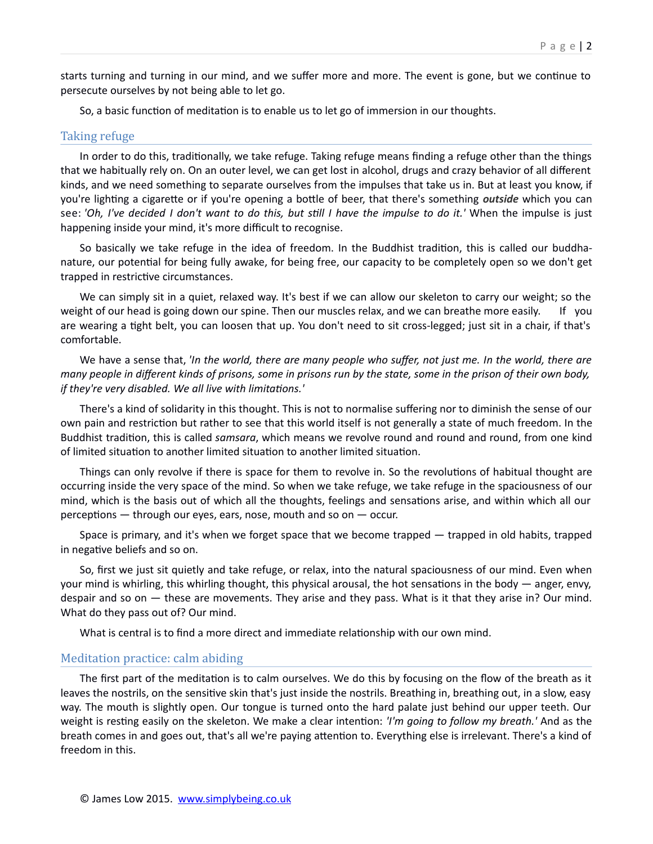starts turning and turning in our mind, and we suffer more and more. The event is gone, but we continue to persecute ourselves by not being able to let go.

So, a basic function of meditation is to enable us to let go of immersion in our thoughts.

#### Taking refuge

In order to do this, traditionally, we take refuge. Taking refuge means finding a refuge other than the things that we habitually rely on. On an outer level, we can get lost in alcohol, drugs and crazy behavior of all different kinds, and we need something to separate ourselves from the impulses that take us in. But at least you know, if you're lighting a cigarette or if you're opening a bottle of beer, that there's something *outside* which you can see: *'Oh, I've decided I don't want to do this, but still I have the impulse to do it.'* When the impulse is just happening inside your mind, it's more difficult to recognise.

So basically we take refuge in the idea of freedom. In the Buddhist tradition, this is called our buddhanature, our potential for being fully awake, for being free, our capacity to be completely open so we don't get trapped in restrictive circumstances.

We can simply sit in a quiet, relaxed way. It's best if we can allow our skeleton to carry our weight; so the weight of our head is going down our spine. Then our muscles relax, and we can breathe more easily. If you are wearing a tight belt, you can loosen that up. You don't need to sit cross-legged; just sit in a chair, if that's comfortable.

We have a sense that, *'In the world, there are many people who suffer, not just me. In the world, there are many people in different kinds of prisons, some in prisons run by the state, some in the prison of their own body, if they're very disabled. We all live with limitations.'* 

There's a kind of solidarity in this thought. This is not to normalise suffering nor to diminish the sense of our own pain and restriction but rather to see that this world itself is not generally a state of much freedom. In the Buddhist tradition, this is called *samsara*, which means we revolve round and round and round, from one kind of limited situation to another limited situation to another limited situation.

Things can only revolve if there is space for them to revolve in. So the revolutions of habitual thought are occurring inside the very space of the mind. So when we take refuge, we take refuge in the spaciousness of our mind, which is the basis out of which all the thoughts, feelings and sensations arise, and within which all our perceptions — through our eyes, ears, nose, mouth and so on — occur.

Space is primary, and it's when we forget space that we become trapped  $-$  trapped in old habits, trapped in negative beliefs and so on.

So, first we just sit quietly and take refuge, or relax, into the natural spaciousness of our mind. Even when your mind is whirling, this whirling thought, this physical arousal, the hot sensations in the body — anger, envy, despair and so on — these are movements. They arise and they pass. What is it that they arise in? Our mind. What do they pass out of? Our mind.

What is central is to find a more direct and immediate relationship with our own mind.

## Meditation practice: calm abiding

The first part of the meditation is to calm ourselves. We do this by focusing on the flow of the breath as it leaves the nostrils, on the sensitive skin that's just inside the nostrils. Breathing in, breathing out, in a slow, easy way. The mouth is slightly open. Our tongue is turned onto the hard palate just behind our upper teeth. Our weight is resting easily on the skeleton. We make a clear intention: *'I'm going to follow my breath.'* And as the breath comes in and goes out, that's all we're paying attention to. Everything else is irrelevant. There's a kind of freedom in this.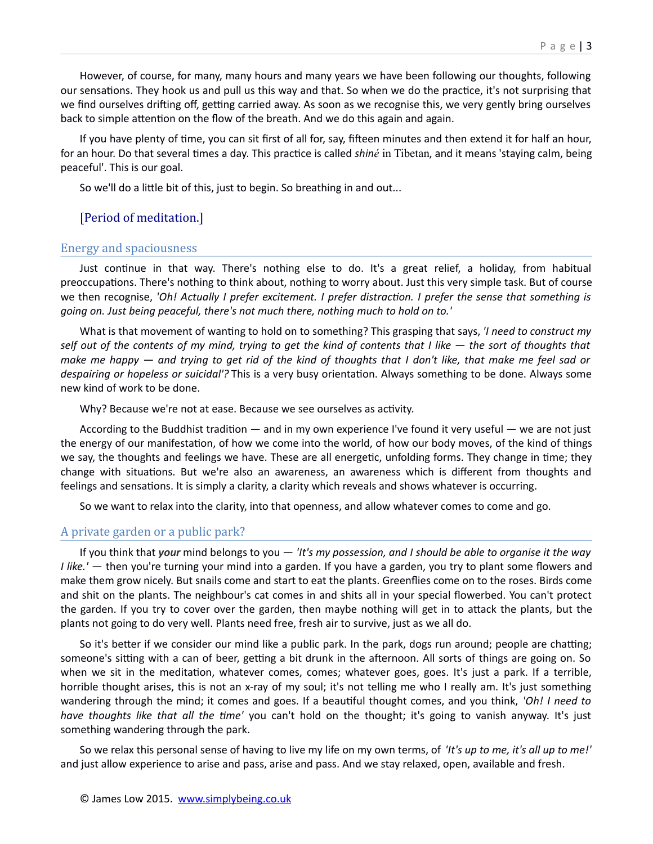However, of course, for many, many hours and many years we have been following our thoughts, following our sensations. They hook us and pull us this way and that. So when we do the practice, it's not surprising that we find ourselves drifting off, getting carried away. As soon as we recognise this, we very gently bring ourselves back to simple attention on the flow of the breath. And we do this again and again.

If you have plenty of time, you can sit first of all for, say, fifteen minutes and then extend it for half an hour, for an hour. Do that several times a day. This practice is called *shiné* in Tibetan, and it means 'staying calm, being peaceful'. This is our goal.

So we'll do a little bit of this, just to begin. So breathing in and out...

# [Period of meditation.]

#### Energy and spaciousness

Just continue in that way. There's nothing else to do. It's a great relief, a holiday, from habitual preoccupations. There's nothing to think about, nothing to worry about. Just this very simple task. But of course we then recognise, *'Oh! Actually I prefer excitement. I prefer distraction. I prefer the sense that something is going on. Just being peaceful, there's not much there, nothing much to hold on to.'* 

What is that movement of wanting to hold on to something? This grasping that says, *'I need to construct my self out of the contents of my mind, trying to get the kind of contents that I like — the sort of thoughts that make me happy — and trying to get rid of the kind of thoughts that I don't like, that make me feel sad or despairing or hopeless or suicidal'?* This is a very busy orientation. Always something to be done. Always some new kind of work to be done.

Why? Because we're not at ease. Because we see ourselves as activity.

According to the Buddhist tradition — and in my own experience I've found it very useful — we are not just the energy of our manifestation, of how we come into the world, of how our body moves, of the kind of things we say, the thoughts and feelings we have. These are all energetic, unfolding forms. They change in time; they change with situations. But we're also an awareness, an awareness which is different from thoughts and feelings and sensations. It is simply a clarity, a clarity which reveals and shows whatever is occurring.

So we want to relax into the clarity, into that openness, and allow whatever comes to come and go.

# A private garden or a public park?

If you think that *your* mind belongs to you — *'It's my possession, and I should be able to organise it the way I like.'* — then you're turning your mind into a garden. If you have a garden, you try to plant some flowers and make them grow nicely. But snails come and start to eat the plants. Greenflies come on to the roses. Birds come and shit on the plants. The neighbour's cat comes in and shits all in your special flowerbed. You can't protect the garden. If you try to cover over the garden, then maybe nothing will get in to attack the plants, but the plants not going to do very well. Plants need free, fresh air to survive, just as we all do.

So it's better if we consider our mind like a public park. In the park, dogs run around; people are chatting; someone's sitting with a can of beer, getting a bit drunk in the afternoon. All sorts of things are going on. So when we sit in the meditation, whatever comes, comes; whatever goes, goes. It's just a park. If a terrible, horrible thought arises, this is not an x-ray of my soul; it's not telling me who I really am. It's just something wandering through the mind; it comes and goes. If a beautiful thought comes, and you think, *'Oh! I need to have thoughts like that all the time'* you can't hold on the thought; it's going to vanish anyway. It's just something wandering through the park.

So we relax this personal sense of having to live my life on my own terms, of *'It's up to me, it's all up to me!'* and just allow experience to arise and pass, arise and pass. And we stay relaxed, open, available and fresh.